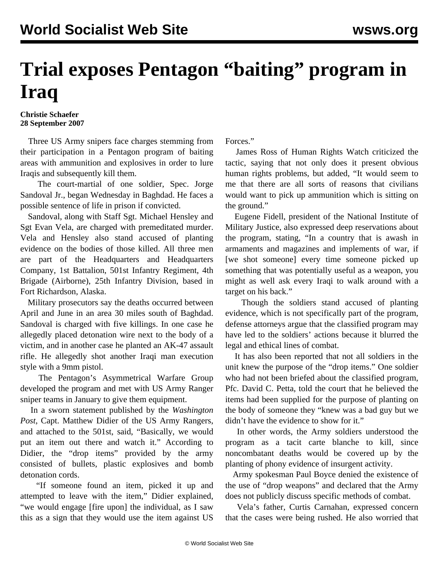## **Trial exposes Pentagon "baiting" program in Iraq**

**Christie Schaefer 28 September 2007**

 Three US Army snipers face charges stemming from their participation in a Pentagon program of baiting areas with ammunition and explosives in order to lure Iraqis and subsequently kill them.

 The court-martial of one soldier, Spec. Jorge Sandoval Jr., began Wednesday in Baghdad. He faces a possible sentence of life in prison if convicted.

 Sandoval, along with Staff Sgt. Michael Hensley and Sgt Evan Vela, are charged with premeditated murder. Vela and Hensley also stand accused of planting evidence on the bodies of those killed. All three men are part of the Headquarters and Headquarters Company, 1st Battalion, 501st Infantry Regiment, 4th Brigade (Airborne), 25th Infantry Division, based in Fort Richardson, Alaska.

 Military prosecutors say the deaths occurred between April and June in an area 30 miles south of Baghdad. Sandoval is charged with five killings. In one case he allegedly placed detonation wire next to the body of a victim, and in another case he planted an AK-47 assault rifle. He allegedly shot another Iraqi man execution style with a 9mm pistol.

 The Pentagon's Asymmetrical Warfare Group developed the program and met with US Army Ranger sniper teams in January to give them equipment.

 In a sworn statement published by the *Washington Post*, Capt. Matthew Didier of the US Army Rangers, and attached to the 501st, said, "Basically, we would put an item out there and watch it." According to Didier, the "drop items" provided by the army consisted of bullets, plastic explosives and bomb detonation cords.

 "If someone found an item, picked it up and attempted to leave with the item," Didier explained, "we would engage [fire upon] the individual, as I saw this as a sign that they would use the item against US

Forces."

 James Ross of Human Rights Watch criticized the tactic, saying that not only does it present obvious human rights problems, but added, "It would seem to me that there are all sorts of reasons that civilians would want to pick up ammunition which is sitting on the ground."

 Eugene Fidell, president of the National Institute of Military Justice, also expressed deep reservations about the program, stating, "In a country that is awash in armaments and magazines and implements of war, if [we shot someone] every time someone picked up something that was potentially useful as a weapon, you might as well ask every Iraqi to walk around with a target on his back."

 Though the soldiers stand accused of planting evidence, which is not specifically part of the program, defense attorneys argue that the classified program may have led to the soldiers' actions because it blurred the legal and ethical lines of combat.

 It has also been reported that not all soldiers in the unit knew the purpose of the "drop items." One soldier who had not been briefed about the classified program, Pfc. David C. Petta, told the court that he believed the items had been supplied for the purpose of planting on the body of someone they "knew was a bad guy but we didn't have the evidence to show for it."

 In other words, the Army soldiers understood the program as a tacit carte blanche to kill, since noncombatant deaths would be covered up by the planting of phony evidence of insurgent activity.

 Army spokesman Paul Boyce denied the existence of the use of "drop weapons" and declared that the Army does not publicly discuss specific methods of combat.

 Vela's father, Curtis Carnahan, expressed concern that the cases were being rushed. He also worried that